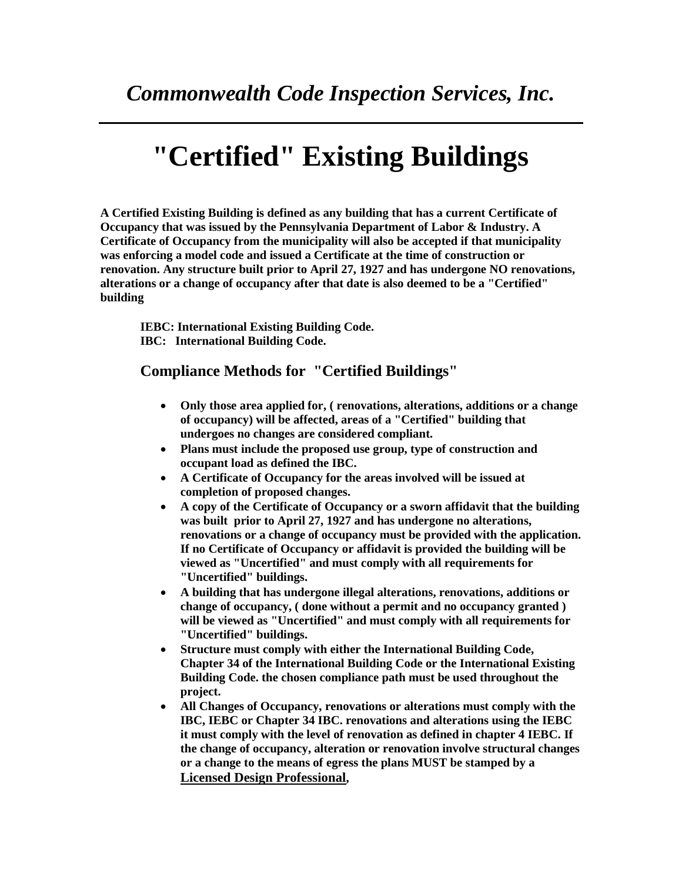## **"Certified" Existing Buildings**

**A Certified Existing Building is defined as any building that has a current Certificate of Occupancy that was issued by the Pennsylvania Department of Labor & Industry. A Certificate of Occupancy from the municipality will also be accepted if that municipality was enforcing a model code and issued a Certificate at the time of construction or renovation. Any structure built prior to April 27, 1927 and has undergone NO renovations, alterations or a change of occupancy after that date is also deemed to be a "Certified" building**

**IEBC: International Existing Building Code. IBC: International Building Code.**

## **Compliance Methods for "Certified Buildings"**

- **Only those area applied for, ( renovations, alterations, additions or a change of occupancy) will be affected, areas of a "Certified" building that undergoes no changes are considered compliant.**
- **Plans must include the proposed use group, type of construction and occupant load as defined the IBC.**
- **A Certificate of Occupancy for the areas involved will be issued at completion of proposed changes.**
- **A copy of the Certificate of Occupancy or a sworn affidavit that the building was built prior to April 27, 1927 and has undergone no alterations, renovations or a change of occupancy must be provided with the application. If no Certificate of Occupancy or affidavit is provided the building will be viewed as "Uncertified" and must comply with all requirements for "Uncertified" buildings.**
- **A building that has undergone illegal alterations, renovations, additions or change of occupancy, ( done without a permit and no occupancy granted ) will be viewed as "Uncertified" and must comply with all requirements for "Uncertified" buildings.**
- **Structure must comply with either the International Building Code, Chapter 34 of the International Building Code or the International Existing Building Code. the chosen compliance path must be used throughout the project.**
- **All Changes of Occupancy, renovations or alterations must comply with the IBC, IEBC or Chapter 34 IBC. renovations and alterations using the IEBC it must comply with the level of renovation as defined in chapter 4 IEBC. If the change of occupancy, alteration or renovation involve structural changes or a change to the means of egress the plans MUST be stamped by a Licensed Design Professional,**